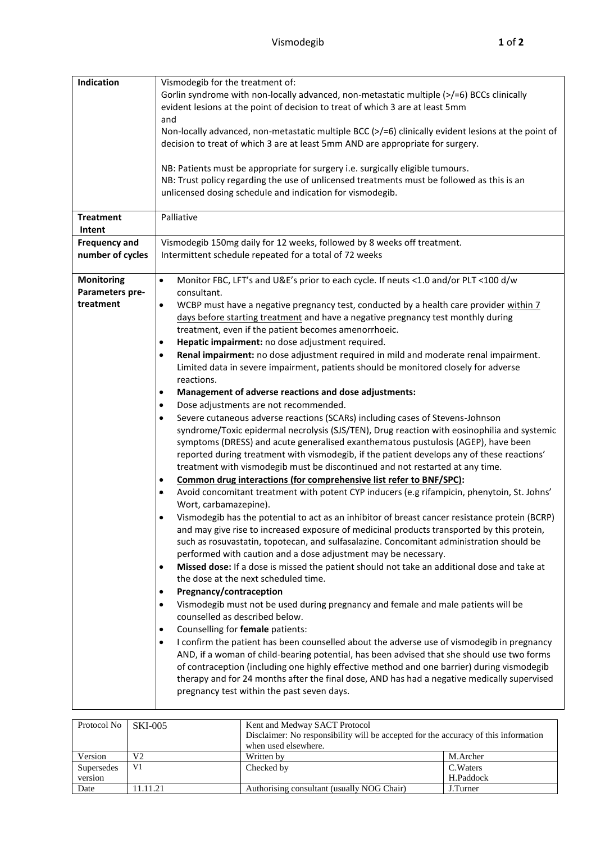| Indication                                        | Vismodegib for the treatment of:<br>Gorlin syndrome with non-locally advanced, non-metastatic multiple (>/=6) BCCs clinically<br>evident lesions at the point of decision to treat of which 3 are at least 5mm<br>and<br>Non-locally advanced, non-metastatic multiple BCC $\ge$ /=6) clinically evident lesions at the point of<br>decision to treat of which 3 are at least 5mm AND are appropriate for surgery.<br>NB: Patients must be appropriate for surgery i.e. surgically eligible tumours.<br>NB: Trust policy regarding the use of unlicensed treatments must be followed as this is an<br>unlicensed dosing schedule and indication for vismodegib.                                                                                                                                                                                                                                                                                                                                                                                                                                                                                                                                                                                                                                                                                                                                                                                                                                                                                                                                                                                                                                                                                                                                                                                                                                                                                                                                                                                                                                                                                                                                                                                                                                                                                                                                                                                                                                                                                                                                                                                                     |  |  |  |  |
|---------------------------------------------------|---------------------------------------------------------------------------------------------------------------------------------------------------------------------------------------------------------------------------------------------------------------------------------------------------------------------------------------------------------------------------------------------------------------------------------------------------------------------------------------------------------------------------------------------------------------------------------------------------------------------------------------------------------------------------------------------------------------------------------------------------------------------------------------------------------------------------------------------------------------------------------------------------------------------------------------------------------------------------------------------------------------------------------------------------------------------------------------------------------------------------------------------------------------------------------------------------------------------------------------------------------------------------------------------------------------------------------------------------------------------------------------------------------------------------------------------------------------------------------------------------------------------------------------------------------------------------------------------------------------------------------------------------------------------------------------------------------------------------------------------------------------------------------------------------------------------------------------------------------------------------------------------------------------------------------------------------------------------------------------------------------------------------------------------------------------------------------------------------------------------------------------------------------------------------------------------------------------------------------------------------------------------------------------------------------------------------------------------------------------------------------------------------------------------------------------------------------------------------------------------------------------------------------------------------------------------------------------------------------------------------------------------------------------------|--|--|--|--|
| <b>Treatment</b><br>Intent                        | Palliative                                                                                                                                                                                                                                                                                                                                                                                                                                                                                                                                                                                                                                                                                                                                                                                                                                                                                                                                                                                                                                                                                                                                                                                                                                                                                                                                                                                                                                                                                                                                                                                                                                                                                                                                                                                                                                                                                                                                                                                                                                                                                                                                                                                                                                                                                                                                                                                                                                                                                                                                                                                                                                                          |  |  |  |  |
| <b>Frequency and</b><br>number of cycles          | Vismodegib 150mg daily for 12 weeks, followed by 8 weeks off treatment.<br>Intermittent schedule repeated for a total of 72 weeks                                                                                                                                                                                                                                                                                                                                                                                                                                                                                                                                                                                                                                                                                                                                                                                                                                                                                                                                                                                                                                                                                                                                                                                                                                                                                                                                                                                                                                                                                                                                                                                                                                                                                                                                                                                                                                                                                                                                                                                                                                                                                                                                                                                                                                                                                                                                                                                                                                                                                                                                   |  |  |  |  |
| <b>Monitoring</b><br>Parameters pre-<br>treatment | Monitor FBC, LFT's and U&E's prior to each cycle. If neuts <1.0 and/or PLT <100 d/w<br>$\bullet$<br>consultant.<br>WCBP must have a negative pregnancy test, conducted by a health care provider within 7<br>$\bullet$<br>days before starting treatment and have a negative pregnancy test monthly during<br>treatment, even if the patient becomes amenorrhoeic.<br>Hepatic impairment: no dose adjustment required.<br>$\bullet$<br>Renal impairment: no dose adjustment required in mild and moderate renal impairment.<br>$\bullet$<br>Limited data in severe impairment, patients should be monitored closely for adverse<br>reactions.<br>Management of adverse reactions and dose adjustments:<br>٠<br>Dose adjustments are not recommended.<br>٠<br>Severe cutaneous adverse reactions (SCARs) including cases of Stevens-Johnson<br>$\bullet$<br>syndrome/Toxic epidermal necrolysis (SJS/TEN), Drug reaction with eosinophilia and systemic<br>symptoms (DRESS) and acute generalised exanthematous pustulosis (AGEP), have been<br>reported during treatment with vismodegib, if the patient develops any of these reactions'<br>treatment with vismodegib must be discontinued and not restarted at any time.<br>Common drug interactions (for comprehensive list refer to BNF/SPC):<br>$\bullet$<br>Avoid concomitant treatment with potent CYP inducers (e.g rifampicin, phenytoin, St. Johns'<br>$\bullet$<br>Wort, carbamazepine).<br>Vismodegib has the potential to act as an inhibitor of breast cancer resistance protein (BCRP)<br>$\bullet$<br>and may give rise to increased exposure of medicinal products transported by this protein,<br>such as rosuvastatin, topotecan, and sulfasalazine. Concomitant administration should be<br>performed with caution and a dose adjustment may be necessary.<br>Missed dose: If a dose is missed the patient should not take an additional dose and take at<br>$\bullet$<br>the dose at the next scheduled time.<br>Pregnancy/contraception<br>$\bullet$<br>Vismodegib must not be used during pregnancy and female and male patients will be<br>$\bullet$<br>counselled as described below.<br>Counselling for female patients:<br>$\bullet$<br>I confirm the patient has been counselled about the adverse use of vismodegib in pregnancy<br>$\bullet$<br>AND, if a woman of child-bearing potential, has been advised that she should use two forms<br>of contraception (including one highly effective method and one barrier) during vismodegib<br>therapy and for 24 months after the final dose, AND has had a negative medically supervised<br>pregnancy test within the past seven days. |  |  |  |  |

| Protocol No | <b>SKI-005</b> | Kent and Medway SACT Protocol<br>Disclaimer: No responsibility will be accepted for the accuracy of this information<br>when used elsewhere. |           |  |
|-------------|----------------|----------------------------------------------------------------------------------------------------------------------------------------------|-----------|--|
| Version     | V2             | Written by                                                                                                                                   | M.Archer  |  |
| Supersedes  | V <sub>1</sub> | Checked by                                                                                                                                   | C. Waters |  |
| version     |                |                                                                                                                                              | H.Paddock |  |
| Date        | 11.11.21       | Authorising consultant (usually NOG Chair)                                                                                                   | J.Turner  |  |